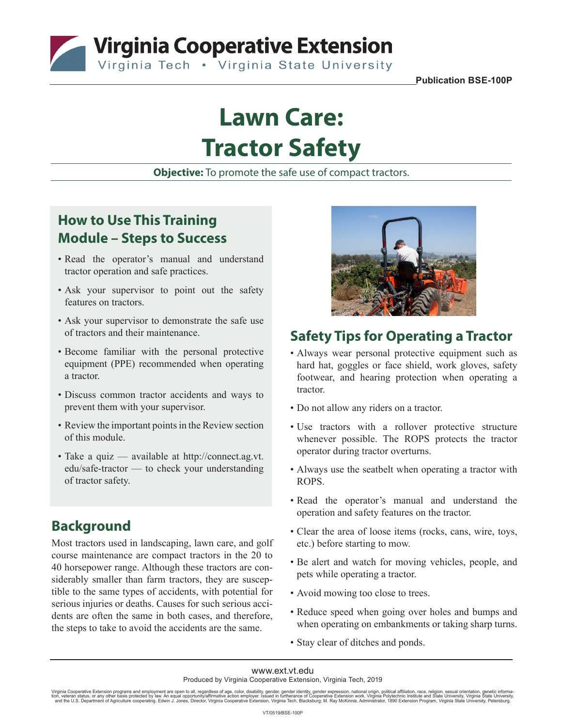**The Virginia Cooperative Extension** 

**Publication BSE-100P**

# **Lawn Care: Tractor Safety**

**Objective:** To promote the safe use of compact tractors.

## **How to Use This Training Module – Steps to Success**

- Read the operator's manual and understand tractor operation and safe practices.
- Ask your supervisor to point out the safety features on tractors.
- Ask your supervisor to demonstrate the safe use of tractors and their maintenance.
- Become familiar with the personal protective equipment (PPE) recommended when operating a tractor.
- Discuss common tractor accidents and ways to prevent them with your supervisor.
- Review the important points in the Review section of this module.
- Take a quiz available at http://connect.ag.vt. edu/safe-tractor — to check your understanding of tractor safety.

## **Background**

Most tractors used in landscaping, lawn care, and golf course maintenance are compact tractors in the 20 to 40 horsepower range. Although these tractors are considerably smaller than farm tractors, they are susceptible to the same types of accidents, with potential for serious injuries or deaths. Causes for such serious accidents are often the same in both cases, and therefore, the steps to take to avoid the accidents are the same.



## **Safety Tips for Operating a Tractor**

- Always wear personal protective equipment such as hard hat, goggles or face shield, work gloves, safety footwear, and hearing protection when operating a tractor.
- Do not allow any riders on a tractor.
- Use tractors with a rollover protective structure whenever possible. The ROPS protects the tractor operator during tractor overturns.
- Always use the seatbelt when operating a tractor with ROPS.
- Read the operator's manual and understand the operation and safety features on the tractor.
- Clear the area of loose items (rocks, cans, wire, toys, etc.) before starting to mow.
- Be alert and watch for moving vehicles, people, and pets while operating a tractor.
- Avoid mowing too close to trees.
- Reduce speed when going over holes and bumps and when operating on embankments or taking sharp turns.
- Stay clear of ditches and ponds.

Virginia Cooperative Extension programs and employment are open to all, regardless of age, color, disability, gender, gender identity, gender expression, national origin, political affiliation, race, religion, sexual orien